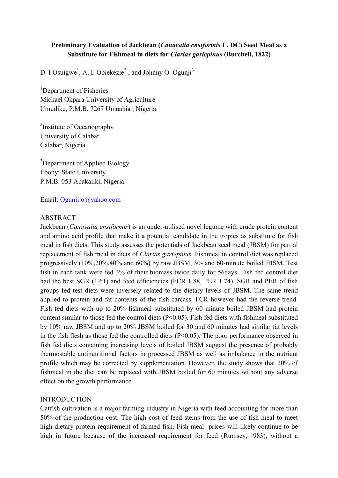# **Preliminary Evaluation of Jackbean (***Canavalia ensiformis* **L. DC) Seed Meal as a Substitute for Fishmeal in diets for** *Clarias gariepinus* **(Burchell, 1822)**

D. I Osuigwe<sup>1</sup>, A. I. Obiekezie<sup>2</sup>, and Johnny O. Ogunji<sup>3</sup>

<sup>1</sup>Department of Fisheries Michael Okpara University of Agriculture Umudike, P.M.B. 7267 Umuahia , Nigeria.

<sup>2</sup>Institute of Oceanography University of Calabar Calabar, Nigeria.

<sup>3</sup>Department of Applied Biology Ebonyi State University P.M.B. 053 Abakaliki, Nigeria.

Email: Ogunjijo@yahoo.com

### ABSTRACT

Jackbean (*Canavalia ensiformis*) is an under-utilised novel legume with crude protein content and amino acid profile that make it a potential candidate in the tropics as substitute for fish meal in fish diets. This study assesses the potentials of Jackbean seed meal (JBSM) for partial replacement of fish meal in diets of *Clarias gariepinus*. Fishmeal in control diet was replaced progressively (10%,20%,40% and 60%) by raw JBSM, 30- and 60-minute boiled JBSM. Test fish in each tank were fed 3% of their biomass twice daily for 56days. Fish fed control diet had the best SGR (1.61) and feed efficiencies (FCR 1.88, PER 1.74). SGR and PER of fish groups fed test diets were inversely related to the dietary levels of JBSM. The same trend applied to protein and fat contents of the fish carcass. FCR however had the reverse trend. Fish fed diets with up to 20% fishmeal substituted by 60 minute boiled JBSM had protein content similar to those fed the control diets (P<0.05). Fish fed diets with fishmeal substituted by 10% raw JBSM and up to 20% JBSM boiled for 30 and 60 minutes had similar fat levels in the fish flesh as those fed the controlled diets  $(P<0.05)$ . The poor performance observed in fish fed diets containing increasing levels of boiled JBSM suggest the presence of probably thermostable antinutritional factors in processed JBSM as well as imbalance in the nutrient profile which may be corrected by supplementation. However, the study shows that 20% of fishmeal in the diet can be replaced with JBSM boiled for 60 minutes without any adverse effect on the growth performance.

### INTRODUCTION

Catfish cultivation is a major farming industry in Nigeria with feed accounting for more than 50% of the production cost. The high cost of feed stems from the use of fish meal to meet high dietary protein requirement of farmed fish. Fish meal prices will likely continue to be high in future because of the increased requirement for feed (Rumsey, !983), without a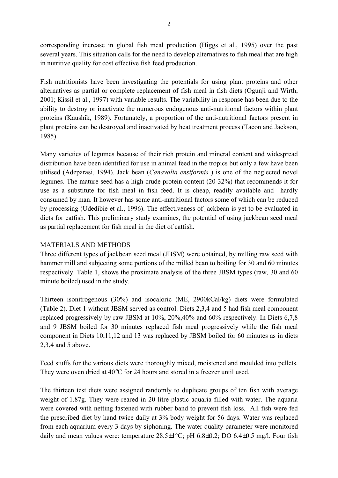corresponding increase in global fish meal production (Higgs et al., 1995) over the past several years. This situation calls for the need to develop alternatives to fish meal that are high in nutritive quality for cost effective fish feed production.

Fish nutritionists have been investigating the potentials for using plant proteins and other alternatives as partial or complete replacement of fish meal in fish diets (Ogunji and Wirth, 2001; Kissil et al., 1997) with variable results. The variability in response has been due to the ability to destroy or inactivate the numerous endogenous anti-nutritional factors within plant proteins (Kaushik, 1989). Fortunately, a proportion of the anti-nutritional factors present in plant proteins can be destroyed and inactivated by heat treatment process (Tacon and Jackson, 1985).

Many varieties of legumes because of their rich protein and mineral content and widespread distribution have been identified for use in animal feed in the tropics but only a few have been utilised (Adeparasi, 1994). Jack bean (*Canavalia ensiformis* ) is one of the neglected novel legumes. The mature seed has a high crude protein content (20-32%) that recommends it for use as a substitute for fish meal in fish feed. It is cheap, readily available and hardly consumed by man. It however has some anti-nutritional factors some of which can be reduced by processing (Udedibie et al., 1996). The effectiveness of jackbean is yet to be evaluated in diets for catfish. This preliminary study examines, the potential of using jackbean seed meal as partial replacement for fish meal in the diet of catfish.

## MATERIALS AND METHODS

Three different types of jackbean seed meal (JBSM) were obtained, by milling raw seed with hammer mill and subjecting some portions of the milled bean to boiling for 30 and 60 minutes respectively. Table 1, shows the proximate analysis of the three JBSM types (raw, 30 and 60 minute boiled) used in the study.

Thirteen isonitrogenous (30%) and isocaloric (ME, 2900kCal/kg) diets were formulated (Table 2). Diet 1 without JBSM served as control. Diets 2,3,4 and 5 had fish meal component replaced progressively by raw JBSM at 10%, 20%,40% and 60% respectively. In Diets 6,7,8 and 9 JBSM boiled for 30 minutes replaced fish meal progressively while the fish meal component in Diets 10,11,12 and 13 was replaced by JBSM boiled for 60 minutes as in diets 2,3,4 and 5 above.

Feed stuffs for the various diets were thoroughly mixed, moistened and moulded into pellets. They were oven dried at 40°C for 24 hours and stored in a freezer until used.

The thirteen test diets were assigned randomly to duplicate groups of ten fish with average weight of 1.87g. They were reared in 20 litre plastic aquaria filled with water. The aquaria were covered with netting fastened with rubber band to prevent fish loss. All fish were fed the prescribed diet by hand twice daily at 3% body weight for 56 days. Water was replaced from each aquarium every 3 days by siphoning. The water quality parameter were monitored daily and mean values were: temperature  $28.5\pm1\degree C$ ; pH 6.8 $\pm0.2$ ; DO 6.4 $\pm0.5$  mg/l. Four fish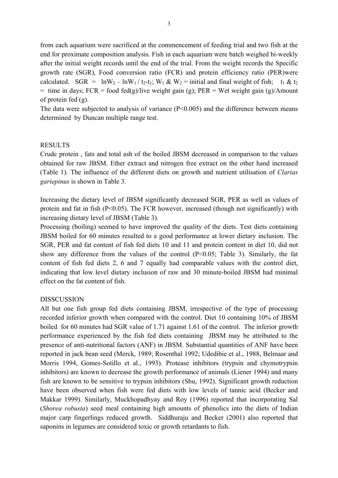from each aquarium were sacrificed at the commencement of feeding trial and two fish at the end for proximate composition analysis. Fish in each aquarium were batch weighed bi-weekly after the initial weight records until the end of the trial. From the weight records the Specific growth rate (SGR), Food conversion ratio (FCR) and protein efficiency ratio (PER)were calculated. SGR =  $lnW_2 - lnW_1/t_2-t_1$ ;  $W_1 \& W_2$  = initial and final weight of fish;  $t_1 \& t_2$ = time in days; FCR = food fed(g)/live weight gain (g); PER = Wet weight gain (g)/Amount of protein fed (g).

The data were subjected to analysis of variance  $(P<0.005)$  and the difference between means determined by Duncan multiple range test.

### RESULTS

Crude protein , fats and total ash of the boiled JBSM decreased in comparison to the values obtained for raw JBSM. Ether extract and nitrogen free extract on the other hand increased (Table 1). The influence of the different diets on growth and nutrient utilisation of *Clarias gariepinus* is shown in Table 3.

Increasing the dietary level of JBSM significantly decreased SGR, PER as well as values of protein and fat in fish  $(P<0.05)$ . The FCR however, increased (though not significantly) with increasing dietary level of JBSM (Table 3).

Processing (boiling) seemed to have improved the quality of the diets. Test diets containing JBSM boiled for 60 minutes resulted to a good performance at lower dietary inclusion. The SGR, PER and fat content of fish fed diets 10 and 11 and protein content in diet 10, did not show any difference from the values of the control (P<0.05; Table 3). Similarly, the fat content of fish fed diets 2, 6 and 7 equally had comparable values with the control diet, indicating that low level dietary inclusion of raw and 30 minute-boiled JBSM had minimal effect on the fat content of fish.

## DISSCUSSION

All but one fish group fed diets containing JBSM, irrespective of the type of processing recorded inferior growth when compared with the control. Diet 10 containing 10% of JBSM boiled for 60 minutes had SGR value of 1.71 against 1.61 of the control. The inferior growth performance experienced by the fish fed diets containing JBSM may be attributed to the presence of anti-nutritional factors (ANF) in JBSM. Substantial quantities of ANF have been reported in jack bean seed (Merck, 1989; Rosenthal 1992; Udedibie et al., 1988, Belmaar and Morris 1994, Gomes-Sotillo et al., 1993). Protease inhibitors (trypsin and chymotrypsin inhibitors) are known to decrease the growth performance of animals (Liener 1994) and many fish are known to be sensitive to trypsin inhibitors (Shu, 1992). Significant growth reduction have been observed when fish were fed diets with low levels of tannic acid (Becker and Makkar 1999). Similarly, Muckhopadhyay and Roy (1996) reported that incorporating Sal (*Shorea robusta*) seed meal containing high amounts of phenolics into the diets of Indian major carp fingerlings reduced growth. Siddhuraju and Becker (2001) also reported that saponins in legumes are considered toxic or growth retardants to fish.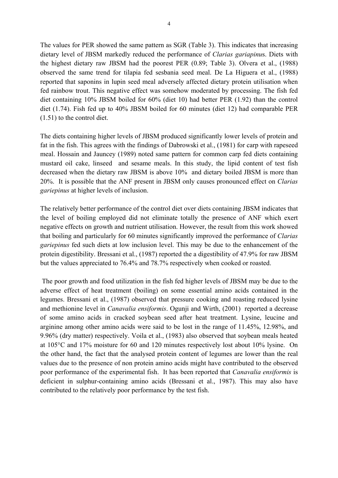The values for PER showed the same pattern as SGR (Table 3). This indicates that increasing dietary level of JBSM markedly reduced the performance of *Clarias gariapinu*s. Diets with the highest dietary raw JBSM had the poorest PER (0.89; Table 3). Olvera et al., (1988) observed the same trend for tilapia fed sesbania seed meal. De La Higuera et al., (1988) reported that saponins in lupin seed meal adversely affected dietary protein utilisation when fed rainbow trout. This negative effect was somehow moderated by processing. The fish fed diet containing 10% JBSM boiled for 60% (diet 10) had better PER (1.92) than the control diet (1.74). Fish fed up to 40% JBSM boiled for 60 minutes (diet 12) had comparable PER (1.51) to the control diet.

The diets containing higher levels of JBSM produced significantly lower levels of protein and fat in the fish. This agrees with the findings of Dabrowski et al., (1981) for carp with rapeseed meal. Hossain and Jauncey (1989) noted same pattern for common carp fed diets containing mustard oil cake, linseed and sesame meals. In this study, the lipid content of test fish decreased when the dietary raw JBSM is above 10% and dietary boiled JBSM is more than 20%. It is possible that the ANF present in JBSM only causes pronounced effect on *Clarias gariepinus* at higher levels of inclusion.

The relatively better performance of the control diet over diets containing JBSM indicates that the level of boiling employed did not eliminate totally the presence of ANF which exert negative effects on growth and nutrient utilisation. However, the result from this work showed that boiling and particularly for 60 minutes significantly improved the performance of *Clarias gariepinus* fed such diets at low inclusion level. This may be due to the enhancement of the protein digestibility. Bressani et al., (1987) reported the a digestibility of 47.9% for raw JBSM but the values appreciated to 76.4% and 78.7% respectively when cooked or roasted.

 The poor growth and food utilization in the fish fed higher levels of JBSM may be due to the adverse effect of heat treatment (boiling) on some essential amino acids contained in the legumes. Bressani et al., (1987) observed that pressure cooking and roasting reduced lysine and methionine level in *Canavalia ensiformis*. Ogunji and Wirth, (2001) reported a decrease of some amino acids in cracked soybean seed after heat treatment. Lysine, leucine and arginine among other amino acids were said to be lost in the range of 11.45%, 12.98%, and 9.96% (dry matter) respectively. Voila et al., (1983) also observed that soybean meals heated at 105°C and 17% moisture for 60 and 120 minutes respectively lost about 10% lysine. On the other hand, the fact that the analysed protein content of legumes are lower than the real values due to the presence of non protein amino acids might have contributed to the observed poor performance of the experimental fish. It has been reported that *Canavalia ensiformis* is deficient in sulphur-containing amino acids (Bressani et al., 1987). This may also have contributed to the relatively poor performance by the test fish.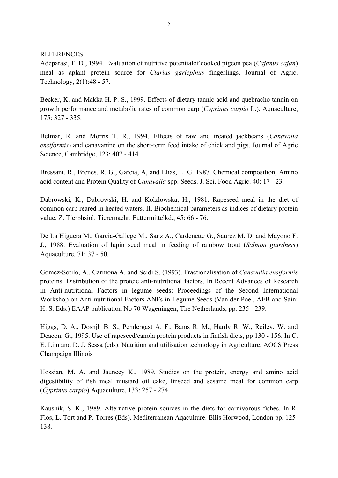#### **REFERENCES**

Adeparasi, F. D., 1994. Evaluation of nutritive potentialof cooked pigeon pea (*Cajanus cajan*) meal as aplant protein source for *Clarias gariepinus* fingerlings. Journal of Agric. Technology, 2(1):48 - 57.

Becker, K. and Makka H. P. S., 1999. Effects of dietary tannic acid and quebracho tannin on growth performance and metabolic rates of common carp (*Cyprinus carpio* L.). Aquaculture, 175: 327 - 335.

Belmar, R. and Morris T. R., 1994. Effects of raw and treated jackbeans (*Canavalia ensiformis*) and canavanine on the short-term feed intake of chick and pigs. Journal of Agric Science, Cambridge, 123: 407 - 414.

Bressani, R., Brenes, R. G., Garcia, A, and Elias, L. G. 1987. Chemical composition, Amino acid content and Protein Quality of *Canavalia* spp. Seeds. J. Sci. Food Agric. 40: 17 - 23.

Dabrowski, K., Dabrowski, H. and Kolzlowska, H., 1981. Rapeseed meal in the diet of common carp reared in heated waters. II. Biochemical parameters as indices of dietary protein value. Z. Tierphsiol. Tierernaehr. Futtermittelkd., 45: 66 - 76.

De La Higuera M., Garcia-Gallege M., Sanz A., Cardenette G., Saurez M. D. and Mayono F. J., 1988. Evaluation of lupin seed meal in feeding of rainbow trout (*Salmon giardneri*) Aquaculture, 71: 37 - 50.

Gomez-Sotilo, A., Carmona A. and Seidi S. (1993). Fractionalisation of *Canavalia ensiformis* proteins. Distribution of the proteic anti-nutritional factors. In Recent Advances of Research in Anti-nutritional Factors in legume seeds: Proceedings of the Second International Workshop on Anti-nutritional Factors ANFs in Legume Seeds (Van der Poel, AFB and Saini H. S. Eds.) EAAP publication No 70 Wageningen, The Netherlands, pp. 235 - 239.

Higgs, D. A., Dosnjh B. S., Pendergast A. F., Bams R. M., Hardy R. W., Reiley, W. and Deacon, G., 1995. Use of rapeseed/canola protein products in finfish diets, pp 130 - 156. In C. E. Lim and D. J. Sessa (eds). Nutrition and utilisation technology in Agriculture. AOCS Press Champaign Illinois

Hossian, M. A. and Jauncey K., 1989. Studies on the protein, energy and amino acid digestibility of fish meal mustard oil cake, linseed and sesame meal for common carp (*Cyprinus carpio*) Aquaculture, 133: 257 - 274.

Kaushik, S. K., 1989. Alternative protein sources in the diets for carnivorous fishes. In R. Flos, L. Tort and P. Torres (Eds). Mediterranean Aqaculture. Ellis Horwood, London pp. 125- 138.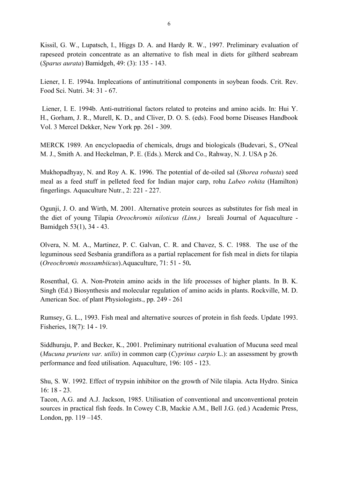Kissil, G. W., Lupatsch, I., Higgs D. A. and Hardy R. W., 1997. Preliminary evaluation of rapeseed protein concentrate as an alternative to fish meal in diets for giltherd seabream (*Sparus aurata*) Bamidgeh, 49: (3): 135 - 143.

Liener, I. E. 1994a. Implecations of antinutritional components in soybean foods. Crit. Rev. Food Sci. Nutri. 34: 31 - 67.

 Liener, I. E. 1994b. Anti-nutritional factors related to proteins and amino acids. In: Hui Y. H., Gorham, J. R., Murell, K. D., and Cliver, D. O. S. (eds). Food borne Diseases Handbook Vol. 3 Mercel Dekker, New York pp. 261 - 309.

MERCK 1989. An encyclopaedia of chemicals, drugs and biologicals (Budevari, S., O'Neal M. J., Smith A. and Heckelman, P. E. (Eds.). Merck and Co., Rahway, N. J. USA p 26.

Mukhopadhyay, N. and Roy A. K. 1996. The potential of de-oiled sal (*Shorea robusta*) seed meal as a feed stuff in pelleted feed for Indian major carp, rohu *Labeo rohita* (Hamilton) fingerlings. Aquaculture Nutr., 2: 221 - 227.

Ogunji, J. O. and Wirth, M. 2001. Alternative protein sources as substitutes for fish meal in the diet of young Tilapia *Oreochromis niloticus (Linn.)* Isreali Journal of Aquaculture - Bamidgeh 53(1), 34 - 43.

Olvera, N. M. A., Martinez, P. C. Galvan, C. R. and Chavez, S. C. 1988. The use of the leguminous seed Sesbania grandiflora as a partial replacement for fish meal in diets for tilapia (*Oreochromis mossambiicus*).Aquaculture, 71: 51 - 50**.**

Rosenthal, G. A. Non-Protein amino acids in the life processes of higher plants. In B. K. Singh (Ed.) Biosynthesis and molecular regulation of amino acids in plants. Rockville, M. D. American Soc. of plant Physiologists., pp. 249 - 261

Rumsey, G. L., 1993. Fish meal and alternative sources of protein in fish feeds. Update 1993. Fisheries, 18(7): 14 - 19.

Siddhuraju, P. and Becker, K., 2001. Preliminary nutritional evaluation of Mucuna seed meal (*Mucuna pruriens var. utilis*) in common carp (*Cyprinus carpio* L.): an assessment by growth performance and feed utilisation. Aquaculture, 196: 105 - 123.

Shu, S. W. 1992. Effect of trypsin inhibitor on the growth of Nile tilapia. Acta Hydro. Sinica 16: 18 - 23.

Tacon, A.G. and A.J. Jackson, 1985. Utilisation of conventional and unconventional protein sources in practical fish feeds. In Cowey C.B, Mackie A.M., Bell J.G. (ed.) Academic Press, London, pp. 119 –145.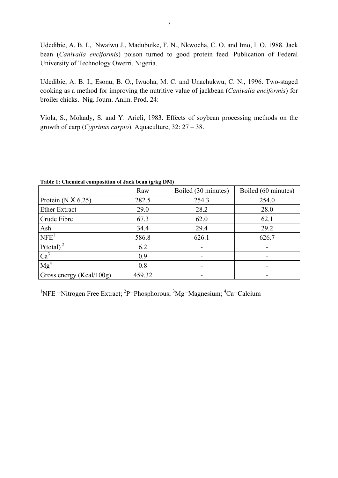Udedibie, A. B. I., Nwaiwu J., Madubuike, F. N., Nkwocha, C. O. and Imo, I. O. 1988. Jack bean (*Canivalia enciformis*) poison turned to good protein feed. Publication of Federal University of Technology Owerri, Nigeria.

Udedibie, A. B. I., Esonu, B. O., Iwuoha, M. C. and Unachukwu, C. N., 1996. Two-staged cooking as a method for improving the nutritive value of jackbean (*Canivalia enciformis*) for broiler chicks. Nig. Journ. Anim. Prod. 24:

Viola, S., Mokady, S. and Y. Arieli, 1983. Effects of soybean processing methods on the growth of carp (*Cyprinus carpio*). Aquaculture, 32: 27 – 38.

|                          | Raw    | Boiled (30 minutes) | Boiled (60 minutes) |  |  |
|--------------------------|--------|---------------------|---------------------|--|--|
| Protein $(N X 6.25)$     | 282.5  | 254.3               | 254.0               |  |  |
| <b>Ether Extract</b>     | 29.0   | 28.2                | 28.0                |  |  |
| Crude Fibre              | 67.3   | 62.0                | 62.1                |  |  |
| Ash                      | 34.4   | 29.4                | 29.2                |  |  |
| NFE <sup>1</sup>         | 586.8  | 626.1               | 626.7               |  |  |
| $P(total)^{2}$           | 6.2    |                     |                     |  |  |
| Ca <sup>3</sup>          | 0.9    |                     |                     |  |  |
| Mg <sup>4</sup>          | 0.8    |                     | -                   |  |  |
| Gross energy (Kcal/100g) | 459.32 |                     | -                   |  |  |

**Table 1: Chemical composition of Jack bean (g/kg DM)** 

<sup>1</sup>NFE =Nitrogen Free Extract; <sup>2</sup>P=Phosphorous; <sup>3</sup>Mg=Magnesium; <sup>4</sup>Ca=Calcium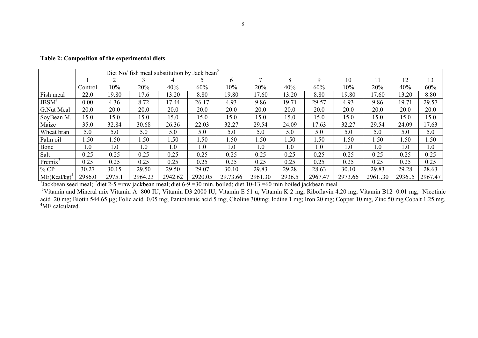|                   | Diet No/ fish meal substitution by Jack bean <sup>2</sup> |        |         |         |         |          |         |        |         |         |         |        |         |
|-------------------|-----------------------------------------------------------|--------|---------|---------|---------|----------|---------|--------|---------|---------|---------|--------|---------|
|                   |                                                           |        |         |         |         | 6        |         | 8      | 9       | 10      |         | 12     | 13      |
|                   | Control                                                   | 10%    | 20%     | 40%     | 60%     | $10\%$   | 20%     | 40%    | 60%     | 10%     | 20%     | 40%    | 60%     |
| Fish meal         | 22.0                                                      | 19.80  | 17.6    | 13.20   | 8.80    | 19.80    | 17.60   | 13.20  | 8.80    | 19.80   | 17.60   | 13.20  | 8.80    |
| JBSM <sup>1</sup> | 0.00                                                      | 4.36   | 8.72    | 17.44   | 26.17   | 4.93     | 9.86    | 19.71  | 29.57   | 4.93    | 9.86    | 19.71  | 29.57   |
| G.Nut Meal        | 20.0                                                      | 20.0   | 20.0    | 20.0    | 20.0    | 20.0     | 20.0    | 20.0   | 20.0    | 20.0    | 20.0    | 20.0   | 20.0    |
| SoyBean M.        | 15.0                                                      | 15.0   | 15.0    | 15.0    | 15.0    | 15.0     | 15.0    | 15.0   | 15.0    | 15.0    | 15.0    | 15.0   | 15.0    |
| Maize             | 35.0                                                      | 32.84  | 30.68   | 26.36   | 22.03   | 32.27    | 29.54   | 24.09  | 17.63   | 32.27   | 29.54   | 24.09  | 17.63   |
| Wheat bran        | 5.0                                                       | 5.0    | 5.0     | 5.0     | 5.0     | 5.0      | 5.0     | 5.0    | 5.0     | 5.0     | 5.0     | 5.0    | 5.0     |
| Palm oil          | 1.50                                                      | 1.50   | .50     | 1.50    | .50     | 1.50     | 1.50    | 1.50   | .50     | 1.50    | 1.50    | .50    | 1.50    |
| Bone              | $\overline{0}$ .                                          | 1.0    | 1.0     | 1.0     | 1.0     | 1.0      | 1.0     | 1.0    | 1.0     | 1.0     | 1.0     | 1.0    | 1.0     |
| Salt              | 0.25                                                      | 0.25   | 0.25    | 0.25    | 0.25    | 0.25     | 0.25    | 0.25   | 0.25    | 0.25    | 0.25    | 0.25   | 0.25    |
| $Premix^3$        | 0.25                                                      | 0.25   | 0.25    | 0.25    | 0.25    | 0.25     | 0.25    | 0.25   | 0.25    | 0.25    | 0.25    | 0.25   | 0.25    |
| $%$ CP            | 30.27                                                     | 30.15  | 29.50   | 29.50   | 29.07   | 30.10    | 29.83   | 29.28  | 28.63   | 30.10   | 29.83   | 29.28  | 28.63   |
| $ME(Kcal/kg)^2$   | 2986.0                                                    | 2975.1 | 2964.23 | 2942.62 | 2920.05 | 29.73.66 | 2961.30 | 2936.5 | 2967.47 | 2973.66 | 2961.30 | 2936.5 | 2967.47 |

**Table 2: Composition of the experimental diets** 

<sup>1</sup>Jackbean seed meal; <sup>2</sup>diet 2-5 = raw jackbean meal; diet 6-9 = 30 min. boiled; diet 10-13 = 60 min boiled jackbean meal

<sup>3</sup>Vitamin and Mineral mix Vitamin A 800 IU; Vitamin D3 2000 IU; Vitamin E 51 u; Vitamin K 2 mg; Riboflavin 4.20 mg; Vitamin B12 0.01 mg; Nicotinic acid 20 mg; Biotin 544.65 µg; Folic acid 0.05 mg; Pantothenic acid 5 mg; Choline 300mg; Iodine 1 mg; Iron 20 mg; Copper 10 mg, Zinc 50 mg Cobalt 1.25 mg. <sup>4</sup>ME calculated.